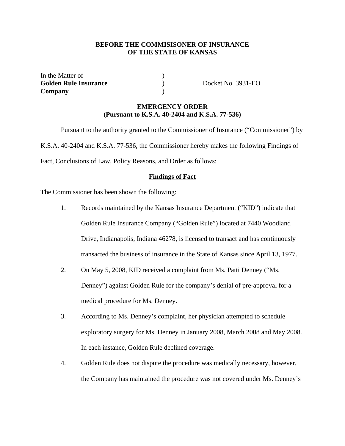# **BEFORE THE COMMISISONER OF INSURANCE OF THE STATE OF KANSAS**

In the Matter of  $\qquad \qquad$  ) **Golden Rule Insurance** ) Docket No. 3931-EO **Company** )

## **EMERGENCY ORDER (Pursuant to K.S.A. 40-2404 and K.S.A. 77-536)**

 Pursuant to the authority granted to the Commissioner of Insurance ("Commissioner") by K.S.A. 40-2404 and K.S.A. 77-536, the Commissioner hereby makes the following Findings of Fact, Conclusions of Law, Policy Reasons, and Order as follows:

#### **Findings of Fact**

The Commissioner has been shown the following:

- 1. Records maintained by the Kansas Insurance Department ("KID") indicate that Golden Rule Insurance Company ("Golden Rule") located at 7440 Woodland Drive, Indianapolis, Indiana 46278, is licensed to transact and has continuously transacted the business of insurance in the State of Kansas since April 13, 1977.
- 2. On May 5, 2008, KID received a complaint from Ms. Patti Denney ("Ms. Denney") against Golden Rule for the company's denial of pre-approval for a medical procedure for Ms. Denney.
- 3. According to Ms. Denney's complaint, her physician attempted to schedule exploratory surgery for Ms. Denney in January 2008, March 2008 and May 2008. In each instance, Golden Rule declined coverage.
- 4. Golden Rule does not dispute the procedure was medically necessary, however, the Company has maintained the procedure was not covered under Ms. Denney's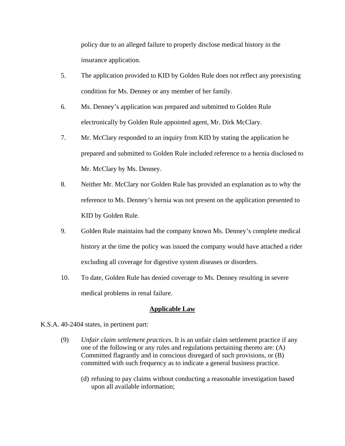policy due to an alleged failure to properly disclose medical history in the insurance application.

- 5. The application provided to KID by Golden Rule does not reflect any preexisting condition for Ms. Denney or any member of her family.
- 6. Ms. Denney's application was prepared and submitted to Golden Rule electronically by Golden Rule appointed agent, Mr. Dirk McClary.
- 7. Mr. McClary responded to an inquiry from KID by stating the application he prepared and submitted to Golden Rule included reference to a hernia disclosed to Mr. McClary by Ms. Denney.
- 8. Neither Mr. McClary nor Golden Rule has provided an explanation as to why the reference to Ms. Denney's hernia was not present on the application presented to KID by Golden Rule.
- 9. Golden Rule maintains had the company known Ms. Denney's complete medical history at the time the policy was issued the company would have attached a rider excluding all coverage for digestive system diseases or disorders.
- 10. To date, Golden Rule has denied coverage to Ms. Denney resulting in severe medical problems in renal failure.

# **Applicable Law**

- K.S.A. 40-2404 states, in pertinent part:
	- (9) *Unfair claim settlement practices.* It is an unfair claim settlement practice if any one of the following or any rules and regulations pertaining thereto are: (A) Committed flagrantly and in conscious disregard of such provisions, or (B) committed with such frequency as to indicate a general business practice.
		- (d) refusing to pay claims without conducting a reasonable investigation based upon all available information;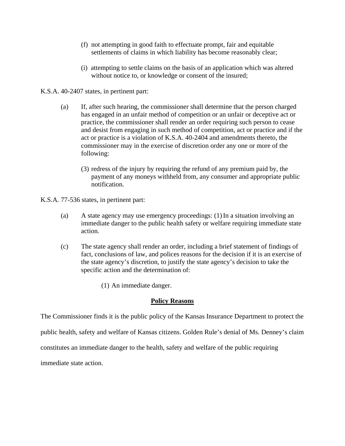- (f) not attempting in good faith to effectuate prompt, fair and equitable settlements of claims in which liability has become reasonably clear;
- (i) attempting to settle claims on the basis of an application which was altered without notice to, or knowledge or consent of the insured;

#### K.S.A. 40-2407 states, in pertinent part:

- (a) If, after such hearing, the commissioner shall determine that the person charged has engaged in an unfair method of competition or an unfair or deceptive act or practice, the commissioner shall render an order requiring such person to cease and desist from engaging in such method of competition, act or practice and if the act or practice is a violation of K.S.A. 40-2404 and amendments thereto, the commissioner may in the exercise of discretion order any one or more of the following:
	- (3) redress of the injury by requiring the refund of any premium paid by, the payment of any moneys withheld from, any consumer and appropriate public notification.

K.S.A. 77-536 states, in pertinent part:

- (a) A state agency may use emergency proceedings: (1) In a situation involving an immediate danger to the public health safety or welfare requiring immediate state action.
- (c) The state agency shall render an order, including a brief statement of findings of fact, conclusions of law, and polices reasons for the decision if it is an exercise of the state agency's discretion, to justify the state agency's decision to take the specific action and the determination of:
	- (1) An immediate danger.

# **Policy Reasons**

The Commissioner finds it is the public policy of the Kansas Insurance Department to protect the

public health, safety and welfare of Kansas citizens. Golden Rule's denial of Ms. Denney's claim

constitutes an immediate danger to the health, safety and welfare of the public requiring

immediate state action.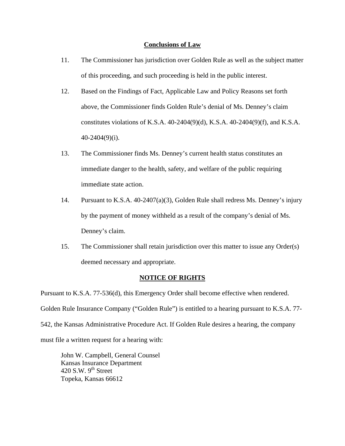#### **Conclusions of Law**

- 11. The Commissioner has jurisdiction over Golden Rule as well as the subject matter of this proceeding, and such proceeding is held in the public interest.
- 12. Based on the Findings of Fact, Applicable Law and Policy Reasons set forth above, the Commissioner finds Golden Rule's denial of Ms. Denney's claim constitutes violations of K.S.A. 40-2404(9)(d), K.S.A. 40-2404(9)(f), and K.S.A. 40-2404(9)(i).
- 13. The Commissioner finds Ms. Denney's current health status constitutes an immediate danger to the health, safety, and welfare of the public requiring immediate state action.
- 14. Pursuant to K.S.A. 40-2407(a)(3), Golden Rule shall redress Ms. Denney's injury by the payment of money withheld as a result of the company's denial of Ms. Denney's claim.
- 15. The Commissioner shall retain jurisdiction over this matter to issue any Order(s) deemed necessary and appropriate.

# **NOTICE OF RIGHTS**

Pursuant to K.S.A. 77-536(d), this Emergency Order shall become effective when rendered.

Golden Rule Insurance Company ("Golden Rule") is entitled to a hearing pursuant to K.S.A. 77-

542, the Kansas Administrative Procedure Act. If Golden Rule desires a hearing, the company

must file a written request for a hearing with:

 John W. Campbell, General Counsel Kansas Insurance Department 420 S.W.  $9<sup>th</sup>$  Street Topeka, Kansas 66612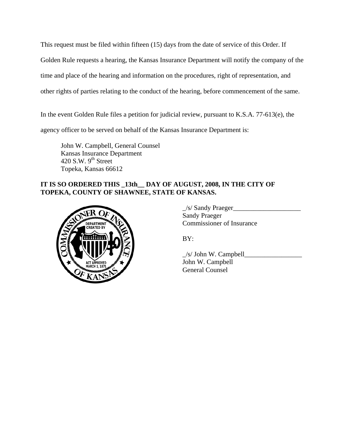This request must be filed within fifteen (15) days from the date of service of this Order. If Golden Rule requests a hearing, the Kansas Insurance Department will notify the company of the time and place of the hearing and information on the procedures, right of representation, and other rights of parties relating to the conduct of the hearing, before commencement of the same.

In the event Golden Rule files a petition for judicial review, pursuant to K.S.A. 77-613(e), the

agency officer to be served on behalf of the Kansas Insurance Department is:

 John W. Campbell, General Counsel Kansas Insurance Department 420 S.W.  $9<sup>th</sup>$  Street Topeka, Kansas 66612

# **IT IS SO ORDERED THIS \_13th\_\_ DAY OF AUGUST, 2008, IN THE CITY OF TOPEKA, COUNTY OF SHAWNEE, STATE OF KANSAS.**



 \_/s/ Sandy Praeger\_\_\_\_\_\_\_\_\_\_\_\_\_\_\_\_\_\_\_\_ Sandy Praeger COMMISSIONER COMMISSIONER OF Insurance

 $\angle$ s/ John W. Campbell John W. Campbell General Counsel